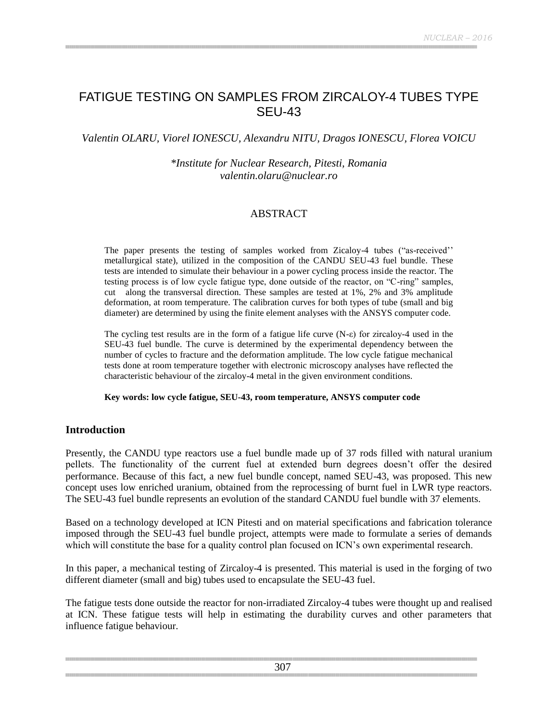# FATIGUE TESTING ON SAMPLES FROM ZIRCALOY-4 TUBES TYPE SEU-43

*Valentin OLARU, Viorel IONESCU, Alexandru NITU, Dragos IONESCU, Florea VOICU*

#### *\*Institute for Nuclear Research, Pitesti, Romania valentin.olaru@nuclear.ro*

#### ABSTRACT

The paper presents the testing of samples worked from Zicaloy-4 tubes ("as-received"" metallurgical state), utilized in the composition of the CANDU SEU-43 fuel bundle. These tests are intended to simulate their behaviour in a power cycling process inside the reactor. The testing process is of low cycle fatigue type, done outside of the reactor, on "C-ring" samples, cut along the transversal direction. These samples are tested at 1%, 2% and 3% amplitude deformation, at room temperature. The calibration curves for both types of tube (small and big diameter) are determined by using the finite element analyses with the ANSYS computer code.

The cycling test results are in the form of a fatigue life curve  $(N-\epsilon)$  for zircaloy-4 used in the SEU-43 fuel bundle. The curve is determined by the experimental dependency between the number of cycles to fracture and the deformation amplitude. The low cycle fatigue mechanical tests done at room temperature together with electronic microscopy analyses have reflected the characteristic behaviour of the zircaloy-4 metal in the given environment conditions.

#### **Key words: low cycle fatigue, SEU-43, room temperature, ANSYS computer code**

#### **Introduction**

Presently, the CANDU type reactors use a fuel bundle made up of 37 rods filled with natural uranium pellets. The functionality of the current fuel at extended burn degrees doesn"t offer the desired performance. Because of this fact, a new fuel bundle concept, named SEU-43, was proposed. This new concept uses low enriched uranium, obtained from the reprocessing of burnt fuel in LWR type reactors. The SEU-43 fuel bundle represents an evolution of the standard CANDU fuel bundle with 37 elements.

Based on a technology developed at ICN Pitesti and on material specifications and fabrication tolerance imposed through the SEU-43 fuel bundle project, attempts were made to formulate a series of demands which will constitute the base for a quality control plan focused on ICN's own experimental research.

In this paper, a mechanical testing of Zircaloy-4 is presented. This material is used in the forging of two different diameter (small and big) tubes used to encapsulate the SEU-43 fuel.

The fatigue tests done outside the reactor for non-irradiated Zircaloy-4 tubes were thought up and realised at ICN. These fatigue tests will help in estimating the durability curves and other parameters that influence fatigue behaviour.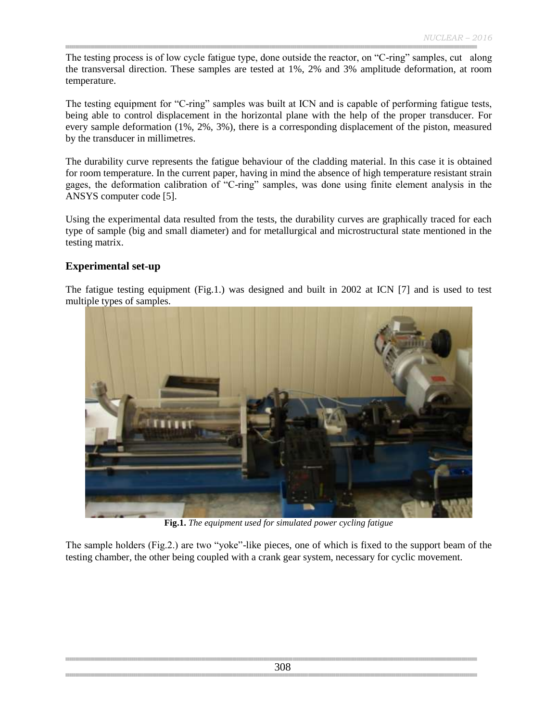The testing process is of low cycle fatigue type, done outside the reactor, on "C-ring" samples, cut along the transversal direction. These samples are tested at 1%, 2% and 3% amplitude deformation, at room temperature.

The testing equipment for "C-ring" samples was built at ICN and is capable of performing fatigue tests, being able to control displacement in the horizontal plane with the help of the proper transducer. For every sample deformation (1%, 2%, 3%), there is a corresponding displacement of the piston, measured by the transducer in millimetres.

The durability curve represents the fatigue behaviour of the cladding material. In this case it is obtained for room temperature. In the current paper, having in mind the absence of high temperature resistant strain gages, the deformation calibration of "C-ring" samples, was done using finite element analysis in the ANSYS computer code [5].

Using the experimental data resulted from the tests, the durability curves are graphically traced for each type of sample (big and small diameter) and for metallurgical and microstructural state mentioned in the testing matrix.

## **Experimental set-up**

The fatigue testing equipment (Fig.1.) was designed and built in 2002 at ICN [7] and is used to test multiple types of samples.



**Fig.1.** *The equipment used for simulated power cycling fatigue*

The sample holders (Fig.2.) are two "yoke"-like pieces, one of which is fixed to the support beam of the testing chamber, the other being coupled with a crank gear system, necessary for cyclic movement.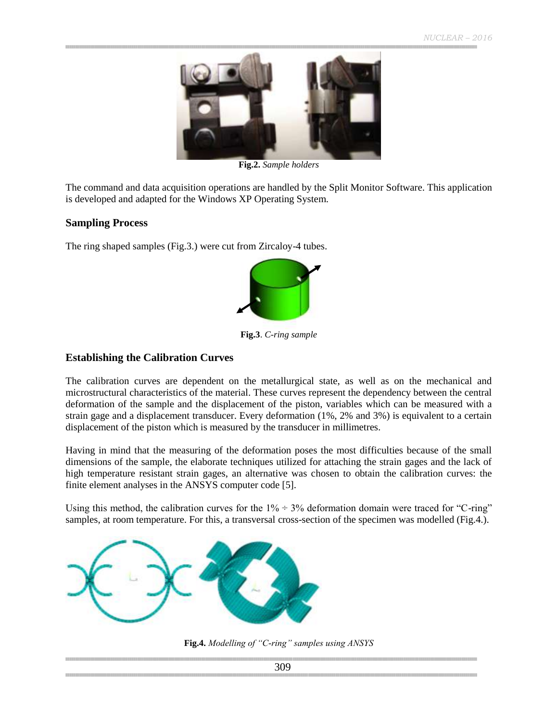

**Fig.2.** *Sample holders*

The command and data acquisition operations are handled by the Split Monitor Software. This application is developed and adapted for the Windows XP Operating System.

#### **Sampling Process**

The ring shaped samples (Fig.3.) were cut from Zircaloy-4 tubes.



**Fig.3**. *C-ring sample*

#### **Establishing the Calibration Curves**

The calibration curves are dependent on the metallurgical state, as well as on the mechanical and microstructural characteristics of the material. These curves represent the dependency between the central deformation of the sample and the displacement of the piston, variables which can be measured with a strain gage and a displacement transducer. Every deformation (1%, 2% and 3%) is equivalent to a certain displacement of the piston which is measured by the transducer in millimetres.

Having in mind that the measuring of the deformation poses the most difficulties because of the small dimensions of the sample, the elaborate techniques utilized for attaching the strain gages and the lack of high temperature resistant strain gages, an alternative was chosen to obtain the calibration curves: the finite element analyses in the ANSYS computer code [5].

Using this method, the calibration curves for the  $1\% \div 3\%$  deformation domain were traced for "C-ring" samples, at room temperature. For this, a transversal cross-section of the specimen was modelled (Fig.4.).



**Fig.4.** *Modelling of "C-ring" samples using ANSYS*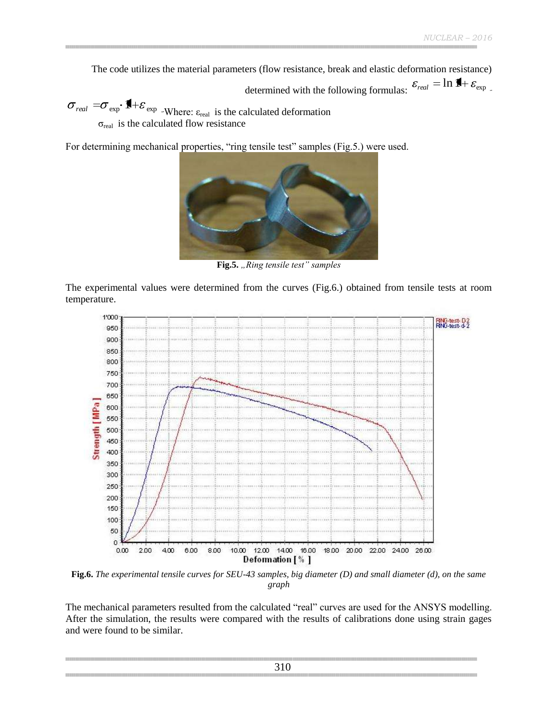The code utilizes the material parameters (flow resistance, break and elastic deformation resistance)

determined with the following formulas:  $\varepsilon_{\text{real}} = \ln \mathbf{H} + \varepsilon_{\text{exp}}$ 

*real*  $=\sigma_{\text{exp}} \cdot \mathbf{1} + \varepsilon_{\text{exp}}$  -Where:  $\varepsilon_{\text{real}}$  is the calculated deformation  $\sigma_{\text{real}}$  is the calculated flow resistance

For determining mechanical properties, "ring tensile test" samples (Fig.5.) were used.



Fig.5. "Ring tensile test" samples

The experimental values were determined from the curves (Fig.6.) obtained from tensile tests at room temperature.



**Fig.6.** *The experimental tensile curves for SEU-43 samples, big diameter (D) and small diameter (d), on the same graph*

The mechanical parameters resulted from the calculated "real" curves are used for the ANSYS modelling. After the simulation, the results were compared with the results of calibrations done using strain gages and were found to be similar.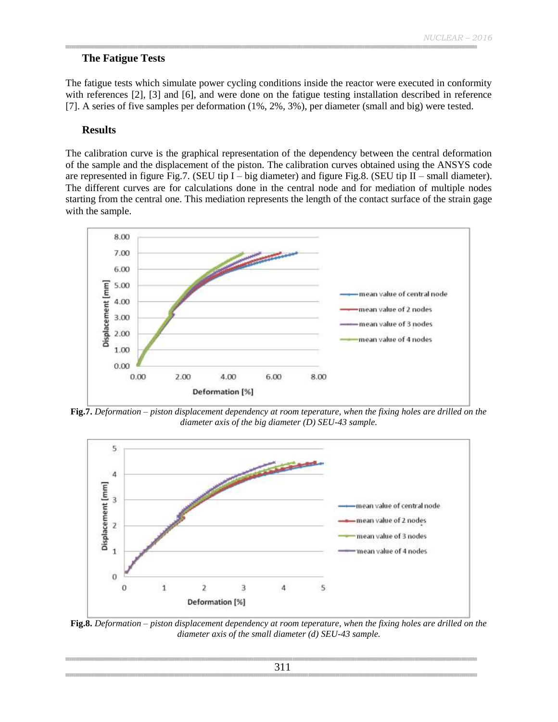#### **The Fatigue Tests**

The fatigue tests which simulate power cycling conditions inside the reactor were executed in conformity with references [2], [3] and [6], and were done on the fatigue testing installation described in reference [7]. A series of five samples per deformation (1%, 2%, 3%), per diameter (small and big) were tested.

#### **Results**

The calibration curve is the graphical representation of the dependency between the central deformation of the sample and the displacement of the piston. The calibration curves obtained using the ANSYS code are represented in figure Fig.7. (SEU tip I – big diameter) and figure Fig.8. (SEU tip II – small diameter). The different curves are for calculations done in the central node and for mediation of multiple nodes starting from the central one. This mediation represents the length of the contact surface of the strain gage with the sample.



**Fig.7.** *Deformation – piston displacement dependency at room teperature, when the fixing holes are drilled on the diameter axis of the big diameter (D) SEU-43 sample.*



**Fig.8.** *Deformation – piston displacement dependency at room teperature, when the fixing holes are drilled on the diameter axis of the small diameter (d) SEU-43 sample.*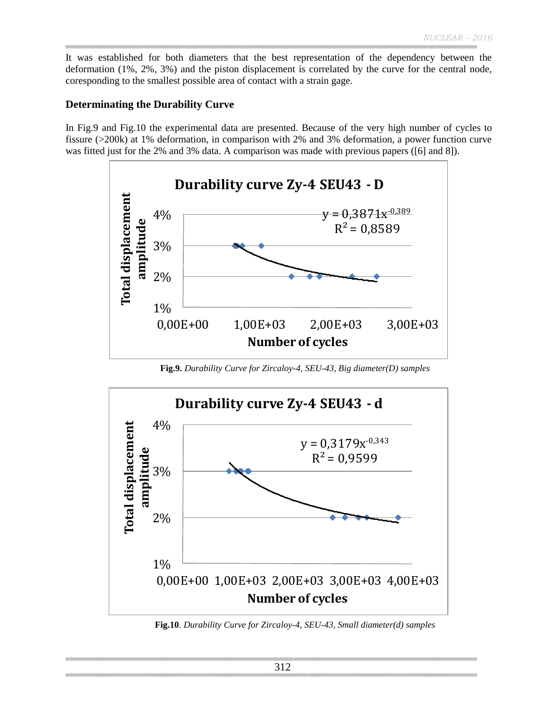It was established for both diameters that the best representation of the dependency between the deformation (1%, 2%, 3%) and the piston displacement is correlated by the curve for the central node, coresponding to the smallest possible area of contact with a strain gage.

#### **Determinating the Durability Curve**

In Fig.9 and Fig.10 the experimental data are presented. Because of the very high number of cycles to fissure (>200k) at 1% deformation, in comparison with 2% and 3% deformation, a power function curve was fitted just for the 2% and 3% data. A comparison was made with previous papers ([6] and 8]).



**Fig.9.** *Durability Curve for Zircaloy-4, SEU-43, Big diameter(D) samples*



**Fig.10**. *Durability Curve for Zircaloy-4, SEU-43, Small diameter(d) samples*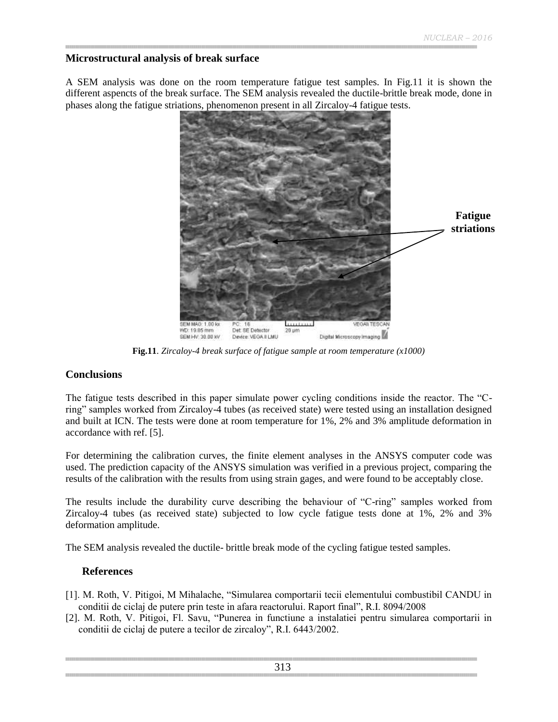## **Microstructural analysis of break surface**

A SEM analysis was done on the room temperature fatigue test samples. In Fig.11 it is shown the different aspencts of the break surface. The SEM analysis revealed the ductile-brittle break mode, done in phases along the fatigue striations, phenomenon present in all Zircaloy-4 fatigue tests.



**Fig.11**. *Zircaloy-4 break surface of fatigue sample at room temperature (x1000)*

## **Conclusions**

The fatigue tests described in this paper simulate power cycling conditions inside the reactor. The "Cring" samples worked from Zircaloy-4 tubes (as received state) were tested using an installation designed and built at ICN. The tests were done at room temperature for 1%, 2% and 3% amplitude deformation in accordance with ref. [5].

For determining the calibration curves, the finite element analyses in the ANSYS computer code was used. The prediction capacity of the ANSYS simulation was verified in a previous project, comparing the results of the calibration with the results from using strain gages, and were found to be acceptably close.

The results include the durability curve describing the behaviour of "C-ring" samples worked from Zircaloy-4 tubes (as received state) subjected to low cycle fatigue tests done at 1%, 2% and 3% deformation amplitude.

The SEM analysis revealed the ductile- brittle break mode of the cycling fatigue tested samples.

## **References**

- [1]. M. Roth, V. Pitigoi, M Mihalache, "Simularea comportarii tecii elementului combustibil CANDU in conditii de ciclaj de putere prin teste in afara reactorului. Raport final", R.I. 8094/2008
- [2]. M. Roth, V. Pitigoi, Fl. Savu, "Punerea in functiune a instalatiei pentru simularea comportarii in conditii de ciclaj de putere a tecilor de zircaloy", R.I. 6443/2002.